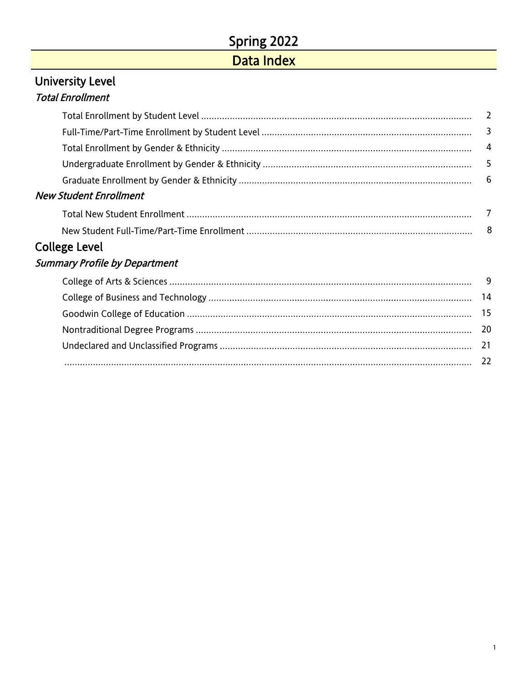# Spring 2022

# Data Index

# <span id="page-0-0"></span>University Level Total Enrollment

| <b>New Student Enrollment</b> |  |
|-------------------------------|--|
|                               |  |
|                               |  |
| College Level                 |  |
|                               |  |

## Summary Profile by Department

| $22$ |  |
|------|--|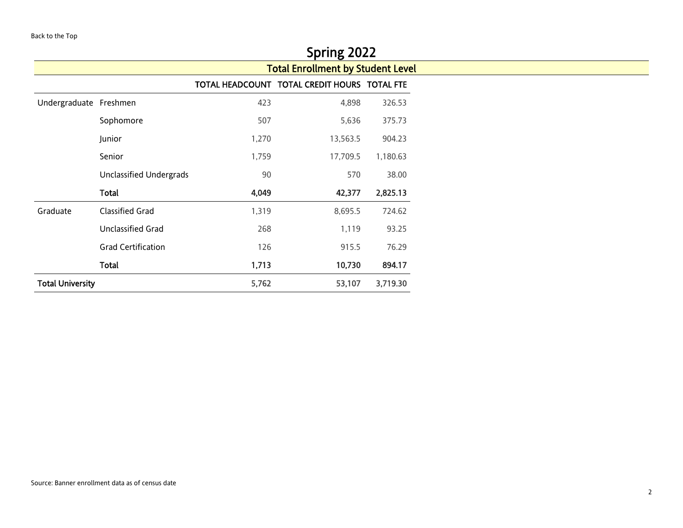<span id="page-1-0"></span>

|                         |                           |       | Spring 2022                                  |          |
|-------------------------|---------------------------|-------|----------------------------------------------|----------|
|                         |                           |       | <b>Total Enrollment by Student Level</b>     |          |
|                         |                           |       | TOTAL HEADCOUNT TOTAL CREDIT HOURS TOTAL FTE |          |
| Undergraduate Freshmen  |                           | 423   | 4,898                                        | 326.53   |
|                         | Sophomore                 | 507   | 5,636                                        | 375.73   |
|                         | Junior                    | 1,270 | 13,563.5                                     | 904.23   |
|                         | Senior                    | 1,759 | 17,709.5                                     | 1,180.63 |
|                         | Unclassified Undergrads   | 90    | 570                                          | 38.00    |
|                         | Total                     | 4,049 | 42,377                                       | 2,825.13 |
| Graduate                | <b>Classified Grad</b>    | 1,319 | 8,695.5                                      | 724.62   |
|                         | <b>Unclassified Grad</b>  | 268   | 1,119                                        | 93.25    |
|                         | <b>Grad Certification</b> | 126   | 915.5                                        | 76.29    |
|                         | <b>Total</b>              | 1,713 | 10,730                                       | 894.17   |
| <b>Total University</b> |                           | 5,762 | 53,107                                       | 3,719.30 |

<u> 1989 - Johann Barn, mars ann an t-Amhain Aonaich an t-Aonaich an t-Aonaich ann an t-Aonaich an t-Aonaich ann </u>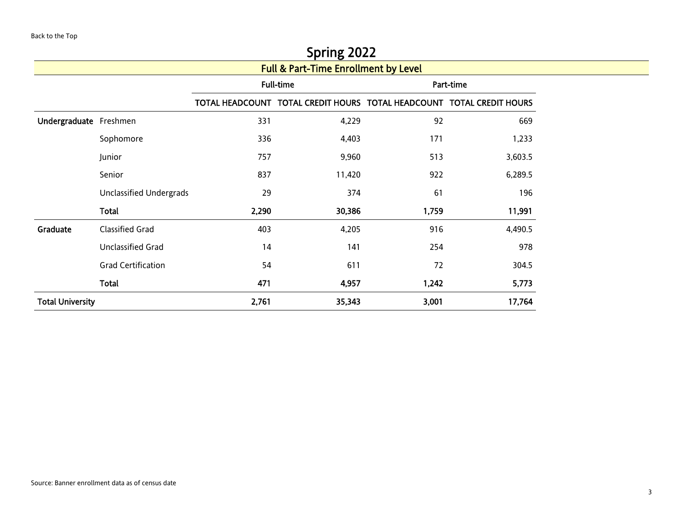<span id="page-2-0"></span>

|                         |                           |       | <b>SPITILE ZUZZ</b>                                                   |       |           |
|-------------------------|---------------------------|-------|-----------------------------------------------------------------------|-------|-----------|
|                         |                           |       | <b>Full &amp; Part-Time Enrollment by Level</b>                       |       |           |
|                         |                           |       | Full-time                                                             |       | Part-time |
|                         |                           |       | TOTAL HEADCOUNT TOTAL CREDIT HOURS TOTAL HEADCOUNT TOTAL CREDIT HOURS |       |           |
| Undergraduate Freshmen  |                           | 331   | 4,229                                                                 | 92    | 669       |
|                         | Sophomore                 | 336   | 4,403                                                                 | 171   | 1,233     |
|                         | Junior                    | 757   | 9,960                                                                 | 513   | 3,603.5   |
|                         | Senior                    | 837   | 11,420                                                                | 922   | 6,289.5   |
|                         | Unclassified Undergrads   | 29    | 374                                                                   | 61    | 196       |
|                         | Total                     | 2,290 | 30,386                                                                | 1,759 | 11,991    |
| Graduate                | <b>Classified Grad</b>    | 403   | 4,205                                                                 | 916   | 4,490.5   |
|                         | Unclassified Grad         | 14    | 141                                                                   | 254   | 978       |
|                         | <b>Grad Certification</b> | 54    | 611                                                                   | 72    | 304.5     |
|                         | Total                     | 471   | 4,957                                                                 | 1,242 | 5,773     |
| <b>Total University</b> |                           | 2,761 | 35,343                                                                | 3,001 | 17,764    |
|                         |                           |       |                                                                       |       |           |

# $S_{\text{Prin}\sigma}$  2022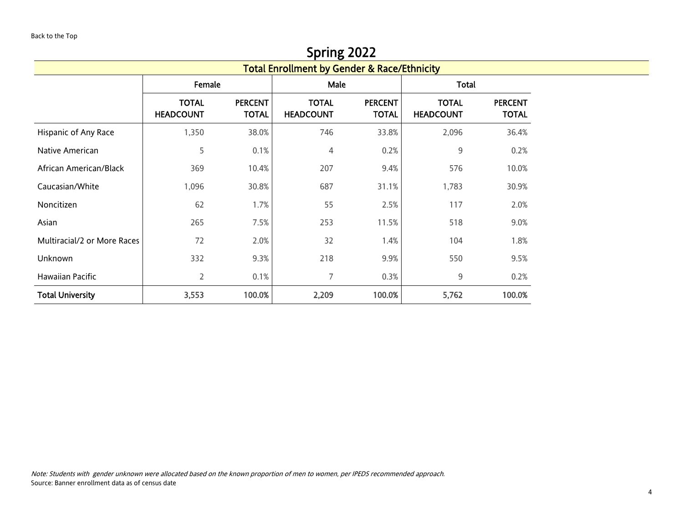<span id="page-3-0"></span>

|                             |                                                        |                                | Spring 2022                      |                                |                                  |                                |  |  |  |  |  |  |
|-----------------------------|--------------------------------------------------------|--------------------------------|----------------------------------|--------------------------------|----------------------------------|--------------------------------|--|--|--|--|--|--|
|                             | <b>Total Enrollment by Gender &amp; Race/Ethnicity</b> |                                |                                  |                                |                                  |                                |  |  |  |  |  |  |
|                             | Female                                                 |                                | Male                             |                                | Total                            |                                |  |  |  |  |  |  |
|                             | <b>TOTAL</b><br><b>HEADCOUNT</b>                       | <b>PERCENT</b><br><b>TOTAL</b> | <b>TOTAL</b><br><b>HEADCOUNT</b> | <b>PERCENT</b><br><b>TOTAL</b> | <b>TOTAL</b><br><b>HEADCOUNT</b> | <b>PERCENT</b><br><b>TOTAL</b> |  |  |  |  |  |  |
| Hispanic of Any Race        | 1,350                                                  | 38.0%                          | 746                              | 33.8%                          | 2,096                            | 36.4%                          |  |  |  |  |  |  |
| Native American             | 5                                                      | 0.1%                           | 4                                | 0.2%                           | 9                                | 0.2%                           |  |  |  |  |  |  |
| African American/Black      | 369                                                    | 10.4%                          | 207                              | 9.4%                           | 576                              | 10.0%                          |  |  |  |  |  |  |
| Caucasian/White             | 1,096                                                  | 30.8%                          | 687                              | 31.1%                          | 1,783                            | 30.9%                          |  |  |  |  |  |  |
| Noncitizen                  | 62                                                     | 1.7%                           | 55                               | 2.5%                           | 117                              | 2.0%                           |  |  |  |  |  |  |
| Asian                       | 265                                                    | 7.5%                           | 253                              | 11.5%                          | 518                              | 9.0%                           |  |  |  |  |  |  |
| Multiracial/2 or More Races | 72                                                     | 2.0%                           | 32                               | 1.4%                           | 104                              | 1.8%                           |  |  |  |  |  |  |
| Unknown                     | 332                                                    | 9.3%                           | 218                              | 9.9%                           | 550                              | 9.5%                           |  |  |  |  |  |  |
| Hawaiian Pacific            | $\overline{2}$                                         | 0.1%                           | 7                                | 0.3%                           | 9                                | 0.2%                           |  |  |  |  |  |  |
| <b>Total University</b>     | 3,553                                                  | 100.0%                         | 2,209                            | 100.0%                         | 5,762                            | 100.0%                         |  |  |  |  |  |  |

Note: Students with gender unknown were allocated based on the known proportion of men to women, per IPEDS recommended approach. Source: Banner enrollment data as of census date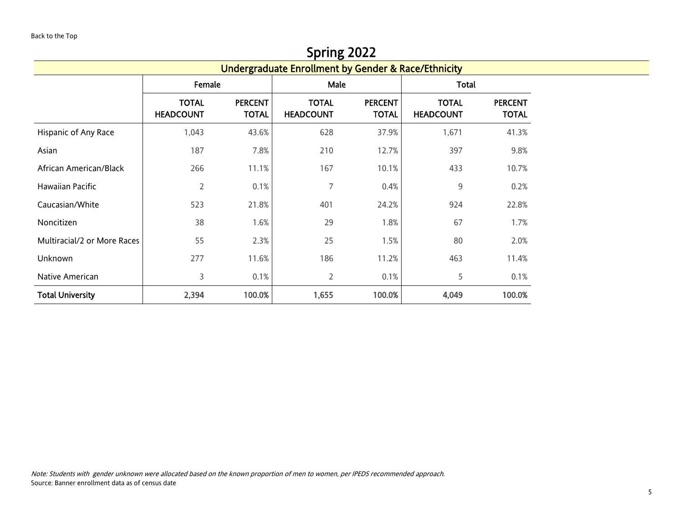#### Spring 2022

<span id="page-4-0"></span>

|                             |                                  |                                | -----0<br><b>Undergraduate Enrollment by Gender &amp; Race/Ethnicity</b> |                                |                                  |                                |  |
|-----------------------------|----------------------------------|--------------------------------|--------------------------------------------------------------------------|--------------------------------|----------------------------------|--------------------------------|--|
|                             | Female                           |                                | Male                                                                     |                                | <b>Total</b>                     |                                |  |
|                             | <b>TOTAL</b><br><b>HEADCOUNT</b> | <b>PERCENT</b><br><b>TOTAL</b> | <b>TOTAL</b><br><b>HEADCOUNT</b>                                         | <b>PERCENT</b><br><b>TOTAL</b> | <b>TOTAL</b><br><b>HEADCOUNT</b> | <b>PERCENT</b><br><b>TOTAL</b> |  |
| Hispanic of Any Race        | 1,043                            | 43.6%                          | 628                                                                      | 37.9%                          | 1,671                            | 41.3%                          |  |
| Asian                       | 187                              | 7.8%                           | 210                                                                      | 12.7%                          | 397                              | 9.8%                           |  |
| African American/Black      | 266                              | 11.1%                          | 167                                                                      | 10.1%                          | 433                              | 10.7%                          |  |
| Hawaiian Pacific            | 2                                | 0.1%                           | 7                                                                        | 0.4%                           | 9                                | 0.2%                           |  |
| Caucasian/White             | 523                              | 21.8%                          | 401                                                                      | 24.2%                          | 924                              | 22.8%                          |  |
| Noncitizen                  | 38                               | 1.6%                           | 29                                                                       | 1.8%                           | 67                               | 1.7%                           |  |
| Multiracial/2 or More Races | 55                               | 2.3%                           | 25                                                                       | 1.5%                           | 80                               | 2.0%                           |  |
| Unknown                     | 277                              | 11.6%                          | 186                                                                      | 11.2%                          | 463                              | 11.4%                          |  |
| Native American             | 3                                | 0.1%                           | 2                                                                        | 0.1%                           | 5                                | 0.1%                           |  |
| <b>Total University</b>     | 2,394                            | 100.0%                         | 1,655                                                                    | 100.0%                         | 4,049                            | 100.0%                         |  |

Note: Students with gender unknown were allocated based on the known proportion of men to women, per IPEDS recommended approach. Source: Banner enrollment data as of census date

<u> 1989 - Johann Barbara, martxa a</u>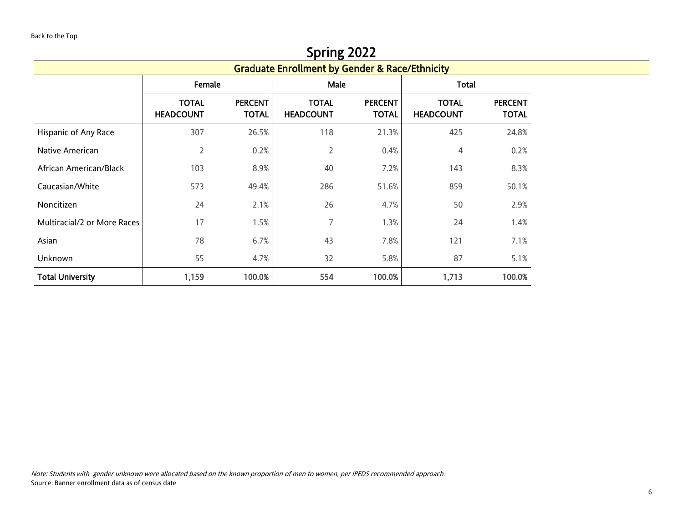<span id="page-5-0"></span>

|                             |                                  |                                | Spring 2022                                               |                                |                                  |                                |  |
|-----------------------------|----------------------------------|--------------------------------|-----------------------------------------------------------|--------------------------------|----------------------------------|--------------------------------|--|
|                             |                                  |                                | <b>Graduate Enrollment by Gender &amp; Race/Ethnicity</b> |                                |                                  |                                |  |
|                             | Female                           |                                | Male                                                      |                                | <b>Total</b>                     |                                |  |
|                             | <b>TOTAL</b><br><b>HEADCOUNT</b> | <b>PERCENT</b><br><b>TOTAL</b> | <b>TOTAL</b><br><b>HEADCOUNT</b>                          | <b>PERCENT</b><br><b>TOTAL</b> | <b>TOTAL</b><br><b>HEADCOUNT</b> | <b>PERCENT</b><br><b>TOTAL</b> |  |
| Hispanic of Any Race        | 307                              | 26.5%                          | 118                                                       | 21.3%                          | 425                              | 24.8%                          |  |
| Native American             | 2                                | 0.2%                           | $\overline{2}$                                            | 0.4%                           | 4                                | 0.2%                           |  |
| African American/Black      | 103                              | 8.9%                           | 40                                                        | 7.2%                           | 143                              | 8.3%                           |  |
| Caucasian/White             | 573                              | 49.4%                          | 286                                                       | 51.6%                          | 859                              | 50.1%                          |  |
| Noncitizen                  | 24                               | 2.1%                           | 26                                                        | 4.7%                           | 50                               | 2.9%                           |  |
| Multiracial/2 or More Races | 17                               | 1.5%                           | 7                                                         | 1.3%                           | 24                               | 1.4%                           |  |
| Asian                       | 78                               | 6.7%                           | 43                                                        | 7.8%                           | 121                              | 7.1%                           |  |
| Unknown                     | 55                               | 4.7%                           | 32                                                        | 5.8%                           | 87                               | 5.1%                           |  |
| <b>Total University</b>     | 1,159                            | 100.0%                         | 554                                                       | 100.0%                         | 1,713                            | 100.0%                         |  |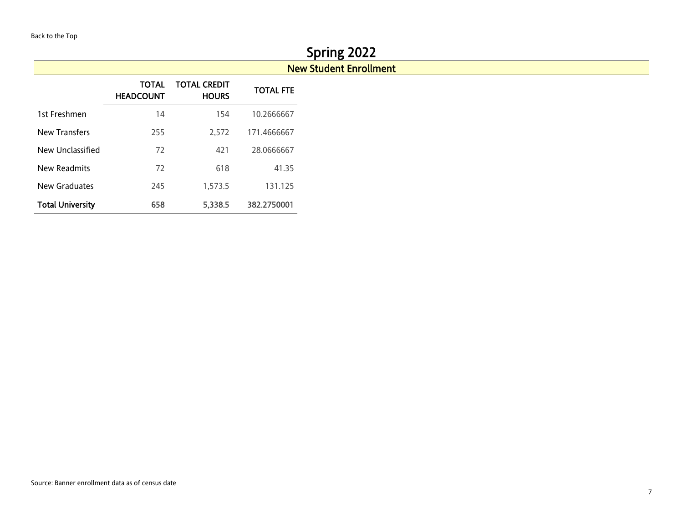# Spring 2022

## New Student Enrollment

<span id="page-6-0"></span>

|                         | TOTAL<br><b>HEADCOUNT</b> | TOTAL CREDIT<br><b>HOURS</b> | <b>TOTAL FTE</b> |
|-------------------------|---------------------------|------------------------------|------------------|
| 1st Freshmen            | 14                        | 154                          | 10.2666667       |
| <b>New Transfers</b>    | 255                       | 2.572                        | 171.4666667      |
| New Unclassified        | 72                        | 421                          | 28.0666667       |
| New Readmits            | 72                        | 618                          | 41.35            |
| New Graduates           | 245                       | 1,573.5                      | 131.125          |
| <b>Total University</b> | 658                       | 5,338.5                      | 382.2750001      |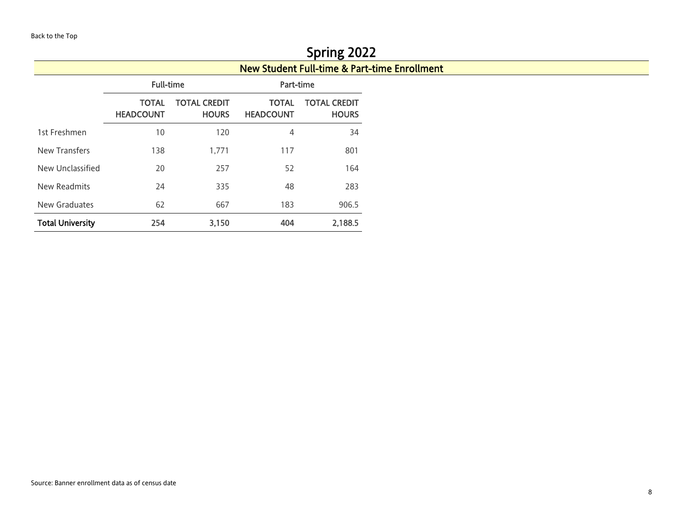<span id="page-7-0"></span>

|                         |                                  |                                     |                                  | Spring 2022                                             |  |
|-------------------------|----------------------------------|-------------------------------------|----------------------------------|---------------------------------------------------------|--|
|                         |                                  |                                     |                                  | <b>New Student Full-time &amp; Part-time Enrollment</b> |  |
|                         | <b>Full-time</b>                 |                                     | Part-time                        |                                                         |  |
|                         | <b>TOTAL</b><br><b>HEADCOUNT</b> | <b>TOTAL CREDIT</b><br><b>HOURS</b> | <b>TOTAL</b><br><b>HEADCOUNT</b> | <b>TOTAL CREDIT</b><br><b>HOURS</b>                     |  |
| 1st Freshmen            | 10                               | 120                                 | 4                                | 34                                                      |  |
| New Transfers           | 138                              | 1,771                               | 117                              | 801                                                     |  |
| New Unclassified        | 20                               | 257                                 | 52                               | 164                                                     |  |
| New Readmits            | 24                               | 335                                 | 48                               | 283                                                     |  |
| New Graduates           | 62                               | 667                                 | 183                              | 906.5                                                   |  |
| <b>Total University</b> | 254                              | 3,150                               | 404                              | 2,188.5                                                 |  |

# $\overline{z}$   $\overline{z}$   $\overline{z}$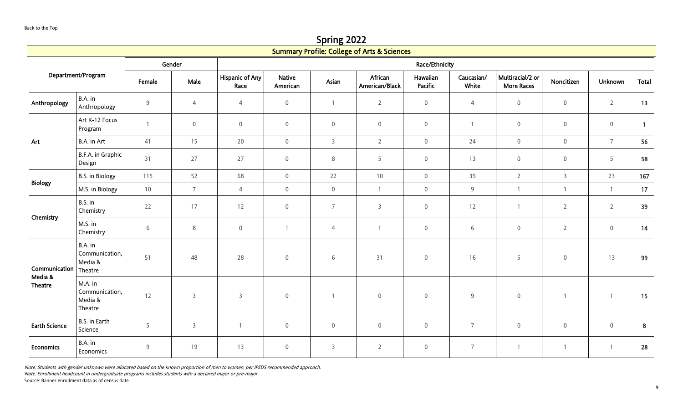Spring 2022

<span id="page-8-0"></span>

|                                            |                                                 |              |                |                                |                           |                | <b>Summary Profile: College of Arts &amp; Sciences</b> |                     |                     |                                       |                     |                     |                  |
|--------------------------------------------|-------------------------------------------------|--------------|----------------|--------------------------------|---------------------------|----------------|--------------------------------------------------------|---------------------|---------------------|---------------------------------------|---------------------|---------------------|------------------|
|                                            |                                                 |              | Gender         |                                |                           |                |                                                        | Race/Ethnicity      |                     |                                       |                     |                     |                  |
|                                            | Department/Program                              | Female       | Male           | <b>Hispanic of Any</b><br>Race | <b>Native</b><br>American | Asian          | African<br>American/Black                              | Hawaiian<br>Pacific | Caucasian/<br>White | Multiracial/2 or<br><b>More Races</b> | Noncitizen          | <b>Unknown</b>      | <b>Total</b>     |
| Anthropology                               | B.A. in<br>Anthropology                         | 9            | $\overline{4}$ | $\overline{4}$                 | $\mathsf{O}\xspace$       | $\overline{1}$ | $\overline{2}$                                         | $\mathsf{O}\xspace$ | $\overline{4}$      | $\mathbb O$                           | $\mathbf 0$         | $\overline{2}$      | 13               |
|                                            | Art K-12 Focus<br>Program                       | $\mathbf{1}$ | $\mathbf 0$    | $\mathsf{O}\xspace$            | $\mathsf{O}\xspace$       | $\mathsf 0$    | $\mathsf{O}\xspace$                                    | $\mathsf{O}\xspace$ | $\mathbf{1}$        | $\mathbb O$                           | $\boldsymbol{0}$    | $\mathsf{O}\xspace$ | $\overline{1}$   |
| Art                                        | B.A. in Art                                     | 41           | 15             | 20                             | $\overline{0}$            | $\overline{3}$ | $\overline{2}$                                         | $\mathsf{O}\xspace$ | 24                  | $\mathbf 0$                           | $\mathbf 0$         | $7\overline{ }$     | 56               |
|                                            | B.F.A. in Graphic<br>Design                     | 31           | 27             | 27                             | $\overline{0}$            | 8              | 5                                                      | $\mathsf 0$         | 13                  | $\boldsymbol{0}$                      | $\mathsf{O}\xspace$ | 5                   | 58               |
| <b>Biology</b>                             | B.S. in Biology                                 | 115          | 52             | 68                             | $\overline{0}$            | 22             | 10                                                     | $\mathsf{O}\xspace$ | 39                  | $\overline{2}$                        | $\mathsf{3}$        | 23                  | 167              |
|                                            | M.S. in Biology                                 | 10           | $\overline{7}$ | $\overline{4}$                 | $\mathsf{O}\xspace$       | $\mathsf 0$    | $\mathbf{1}$                                           | $\mathsf{O}\xspace$ | $\overline{9}$      | $\overline{1}$                        | $\mathbf{1}$        | $\mathbf{1}$        | 17               |
| Chemistry                                  | B.S. in<br>Chemistry                            | 22           | 17             | 12                             | $\overline{0}$            | $\overline{7}$ | $\overline{3}$                                         | $\mathsf 0$         | 12                  | $\overline{1}$                        | $\overline{2}$      | $\overline{2}$      | 39               |
|                                            | M.S. in<br>Chemistry                            | $\,$ 6 $\,$  | $8\phantom{1}$ | $\mathsf{O}\xspace$            |                           | 4              | $\mathbf{1}$                                           | $\mathsf{O}\xspace$ | $\,$ 6 $\,$         | $\mathbb O$                           | $\overline{2}$      | $\mathsf{O}\xspace$ | 14               |
| Communication<br>Media &<br><b>Theatre</b> | B.A. in<br>Communication,<br>Media &<br>Theatre | 51           | 48             | 28                             | $\mathbf 0$               | 6              | 31                                                     | $\mathsf{O}\xspace$ | 16                  | 5                                     | $\mathbf 0$         | 13                  | 99               |
|                                            | M.A. in<br>Communication,<br>Media &<br>Theatre | 12           | $\overline{3}$ | $\mathsf{3}$                   | $\mathsf{O}\xspace$       |                | $\mathbf 0$                                            | $\mathsf{O}\xspace$ | $9$                 | $\mathbb O$                           | $\mathbf{1}$        | $\overline{1}$      | 15               |
| <b>Earth Science</b>                       | B.S. in Earth<br>Science                        | 5            | $\overline{3}$ | $\overline{1}$                 | $\mathsf{O}\xspace$       | $\mathsf 0$    | $\mathbf 0$                                            | $\mathsf{O}\xspace$ | $\overline{7}$      | $\mathbf 0$                           | $\mathbf 0$         | $\mathsf{O}\xspace$ | $\boldsymbol{8}$ |
| <b>Economics</b>                           | B.A. in<br>Economics                            | 9            | 19             | 13                             | $\mathbf 0$               | $\overline{3}$ | $\overline{2}$                                         | $\mathbf 0$         | $\overline{7}$      | $\overline{1}$                        | $\mathbf{1}$        | $\overline{1}$      | 28               |
|                                            |                                                 |              |                |                                |                           |                |                                                        |                     |                     |                                       |                     |                     |                  |

Note: Enrollment headcount in undergraduate programs includes students with a declared major or pre-major.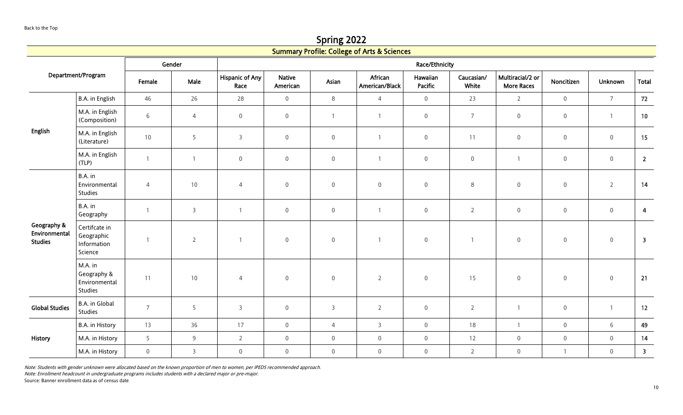Spring 2022

|                                                |                                                       |                |                |                                |                           |                     | <b>Summary Profile: College of Arts &amp; Sciences</b> |                     |                     |                                       |                     |                     |                         |
|------------------------------------------------|-------------------------------------------------------|----------------|----------------|--------------------------------|---------------------------|---------------------|--------------------------------------------------------|---------------------|---------------------|---------------------------------------|---------------------|---------------------|-------------------------|
|                                                |                                                       |                | Gender         | Race/Ethnicity                 |                           |                     |                                                        |                     |                     |                                       |                     |                     |                         |
|                                                | Department/Program                                    | Female         | Male           | <b>Hispanic of Any</b><br>Race | <b>Native</b><br>American | Asian               | African<br>American/Black                              | Hawaiian<br>Pacific | Caucasian/<br>White | Multiracial/2 or<br><b>More Races</b> | Noncitizen          | Unknown             | <b>Total</b>            |
|                                                | B.A. in English                                       | 46             | 26             | 28                             | $\overline{0}$            | $\,8\,$             | $\overline{4}$                                         | $\mathsf{O}\xspace$ | 23                  | $\overline{2}$                        | $\mathsf{O}\xspace$ | $\overline{7}$      | 72                      |
|                                                | M.A. in English<br>(Composition)                      | $\,$ 6 $\,$    | $\overline{4}$ | $\mathbf 0$                    | $\mathsf{O}\xspace$       |                     |                                                        | $\mathbf 0$         | $\overline{7}$      | $\,0\,$                               | $\mathsf{O}\xspace$ | $\overline{1}$      | 10                      |
| <b>English</b>                                 | M.A. in English<br>(Literature)                       | $10\,$         | 5              | $\mathbf{3}$                   | $\mathbf 0$               | $\mathsf{O}\xspace$ |                                                        | $\mathsf{O}\xspace$ | 11                  | $\boldsymbol{0}$                      | $\mathbf 0$         | $\mathsf{O}\xspace$ | 15                      |
|                                                | M.A. in English<br>(TLP)                              | $\mathbf{1}$   | $\overline{1}$ | $\boldsymbol{0}$               | $\mathsf{O}\xspace$       | $\mathsf{O}\xspace$ |                                                        | $\mathsf{O}\xspace$ | $\mathbf 0$         | $\overline{1}$                        | $\mathbf 0$         | $\mathsf{O}\xspace$ | $\overline{2}$          |
|                                                | B.A. in<br>Environmental<br>Studies                   | $\overline{4}$ | $10$           | $\overline{4}$                 | $\mathbf 0$               | $\mathsf{O}\xspace$ | $\overline{0}$                                         | $\mathbf 0$         | $\,8\,$             | $\mathbf 0$                           | $\boldsymbol{0}$    | $\overline{2}$      | 14                      |
|                                                | B.A. in<br>Geography                                  | $\overline{1}$ | $\overline{3}$ | $\overline{1}$                 | $\mathbf 0$               | $\mathbf 0$         |                                                        | $\mathsf{O}\xspace$ | $\overline{2}$      | $\mathbb O$                           | $\mathbf 0$         | $\mathsf{O}\xspace$ | $\overline{4}$          |
| Geography &<br>Environmental<br><b>Studies</b> | Certifcate in<br>Geographic<br>Information<br>Science | $\overline{1}$ | $\overline{2}$ | $\overline{1}$                 | $\mathbf 0$               | $\,0\,$             |                                                        | $\mathbf 0$         | $\mathbf{1}$        | $\mathbf 0$                           | $\mathsf{O}\xspace$ | $\mathbb O$         | $\overline{\mathbf{3}}$ |
|                                                | M.A. in<br>Geography &<br>Environmental<br>Studies    | 11             | $10\,$         | $\overline{4}$                 | $\mathbf 0$               | $\boldsymbol{0}$    | $\overline{2}$                                         | $\mathsf{O}\xspace$ | 15                  | $\mathbf 0$                           | $\mathbf 0$         | $\boldsymbol{0}$    | 21                      |
| <b>Global Studies</b>                          | B.A. in Global<br>Studies                             | $\overline{7}$ | 5              | $\overline{3}$                 | $\mathsf{O}\xspace$       | $\mathsf{3}$        | $\overline{2}$                                         | $\mathsf{O}\xspace$ | $\overline{2}$      | $\overline{1}$                        | $\mathsf{O}\xspace$ | $\overline{1}$      | 12                      |
|                                                | B.A. in History                                       | 13             | 36             | 17                             | $\overline{0}$            | $\overline{4}$      | $\mathsf{3}$                                           | $\mathbf 0$         | 18                  | $\overline{1}$                        | $\mathbf 0$         | $\,$ 6 $\,$         | 49                      |
| History                                        | M.A. in History                                       | 5              | 9              | $\overline{2}$                 | $\mathsf{O}\xspace$       | $\mathbf 0$         | $\boldsymbol{0}$                                       | $\mathbf 0$         | 12                  | $\mathbf 0$                           | $\mathsf{O}\xspace$ | $\mathbf 0$         | 14                      |
|                                                | M.A. in History                                       | $\mathbf 0$    | $\overline{3}$ | $\boldsymbol{0}$               | $\mathbf 0$               | $\mathbf 0$         | $\overline{0}$                                         | $\mathbf 0$         | $\overline{2}$      | $\mathbf 0$                           | $\mathbf{1}$        | $\mathbf 0$         | $\overline{\mathbf{3}}$ |

Note: Enrollment headcount in undergraduate programs includes students with a declared major or pre-major.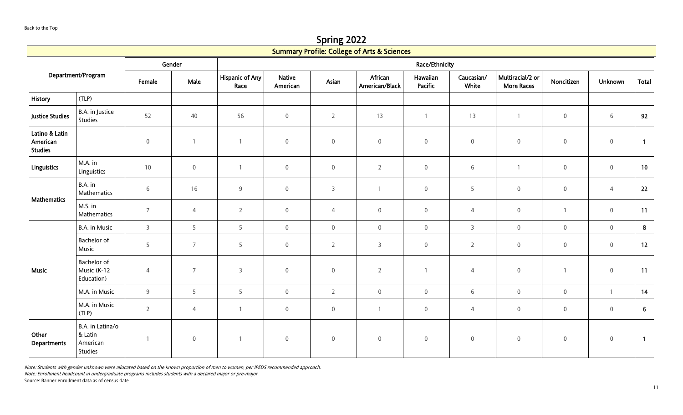Spring 2022

|                                              |                                                    |                 |                     |                                |                           |                     | <b>Summary Profile: College of Arts &amp; Sciences</b> |                     |                     |                                       |                     |                     |                |  |
|----------------------------------------------|----------------------------------------------------|-----------------|---------------------|--------------------------------|---------------------------|---------------------|--------------------------------------------------------|---------------------|---------------------|---------------------------------------|---------------------|---------------------|----------------|--|
|                                              |                                                    |                 | Gender              |                                | Race/Ethnicity            |                     |                                                        |                     |                     |                                       |                     |                     |                |  |
|                                              | Department/Program                                 |                 | Male                | <b>Hispanic of Any</b><br>Race | <b>Native</b><br>American | Asian               | African<br>American/Black                              | Hawaiian<br>Pacific | Caucasian/<br>White | Multiracial/2 or<br><b>More Races</b> | Noncitizen          | <b>Unknown</b>      | Total          |  |
| History                                      | (TLP)                                              |                 |                     |                                |                           |                     |                                                        |                     |                     |                                       |                     |                     |                |  |
| <b>Justice Studies</b>                       | B.A. in Justice<br>Studies                         | 52              | 40                  | 56                             | $\mathbf 0$               | $\overline{2}$      | 13                                                     | $\mathbf{1}$        | 13                  | $\overline{1}$                        | $\mathsf{O}\xspace$ | 6                   | 92             |  |
| Latino & Latin<br>American<br><b>Studies</b> |                                                    | $\,0\,$         |                     | $\mathbf{1}$                   | $\mathsf{O}\xspace$       | $\mathsf{O}\xspace$ | $\mathbf 0$                                            | $\mathbf 0$         | $\,0\,$             | $\mathbf 0$                           | $\mathbf 0$         | $\mathbf 0$         | $\overline{1}$ |  |
| <b>Linguistics</b>                           | M.A. in<br>Linguistics                             | 10              | $\mathsf{O}\xspace$ | $\mathbf{1}$                   | $\overline{0}$            | $\mathbf 0$         | $\overline{2}$                                         | $\mathsf{O}\xspace$ | 6                   | $\overline{1}$                        | $\mathsf{O}\xspace$ | $\mathsf{O}\xspace$ | 10             |  |
| <b>Mathematics</b>                           | B.A. in<br>Mathematics                             | $6\overline{6}$ | 16                  | $9\,$                          | $\overline{0}$            | $\overline{3}$      | $\overline{1}$                                         | $\mathsf{O}\xspace$ | 5                   | $\mathbf 0$                           | $\mathbf 0$         | $\overline{4}$      | 22             |  |
|                                              | M.S. in<br>Mathematics                             | $\overline{7}$  | $\overline{4}$      | $\overline{2}$                 | $\mathsf{O}\xspace$       | $\overline{4}$      | $\boldsymbol{0}$                                       | $\mathbf 0$         | $\overline{4}$      | $\boldsymbol{0}$                      | $\mathbf{1}$        | $\boldsymbol{0}$    | 11             |  |
|                                              | B.A. in Music                                      | $\overline{3}$  | 5                   | 5                              | $\overline{0}$            | $\mathsf{O}\xspace$ | $\mathsf{O}\xspace$                                    | $\mathbf 0$         | $\overline{3}$      | $\mathbf 0$                           | $\boldsymbol{0}$    | $\mathsf{O}\xspace$ | 8 <sup>1</sup> |  |
|                                              | Bachelor of<br>Music                               | 5               | $\overline{7}$      | 5                              | $\mathsf{O}\xspace$       | $\overline{2}$      | $\overline{3}$                                         | $\mathsf{O}\xspace$ | $\overline{2}$      | $\mathbf 0$                           | $\mathbf 0$         | $\mathbf 0$         | 12             |  |
| <b>Music</b>                                 | Bachelor of<br>Music (K-12<br>Education)           | 4               | $\overline{7}$      | 3                              | $\boldsymbol{0}$          | $\boldsymbol{0}$    | $\overline{2}$                                         | $\mathbf{1}$        | $\overline{4}$      | $\boldsymbol{0}$                      | $\mathbf{1}$        | $\boldsymbol{0}$    | 11             |  |
|                                              | M.A. in Music                                      | 9               | 5                   | 5                              | $\overline{0}$            | $\overline{2}$      | $\mathsf{O}\xspace$                                    | $\mathsf{O}\xspace$ | 6                   | $\mathsf{O}\xspace$                   | $\boldsymbol{0}$    | $\overline{1}$      | 14             |  |
|                                              | M.A. in Music<br>(TLP)                             | $\overline{2}$  | $\overline{4}$      | $\mathbf{1}$                   | $\overline{0}$            | $\mathbf 0$         | $\mathbf{1}$                                           | $\boldsymbol{0}$    | $\overline{4}$      | $\boldsymbol{0}$                      | $\boldsymbol{0}$    | $\boldsymbol{0}$    | 6              |  |
| Other<br>Departments                         | B.A. in Latina/o<br>& Latin<br>American<br>Studies | $\overline{1}$  | $\overline{0}$      | $\overline{1}$                 | $\mathbf 0$               | $\boldsymbol{0}$    | $\boldsymbol{0}$                                       | $\mathbf 0$         | $\mathbb O$         | $\mathbf 0$                           | $\boldsymbol{0}$    | $\mathsf{O}\xspace$ | $\overline{1}$ |  |

Note: Enrollment headcount in undergraduate programs includes students with a declared major or pre-major.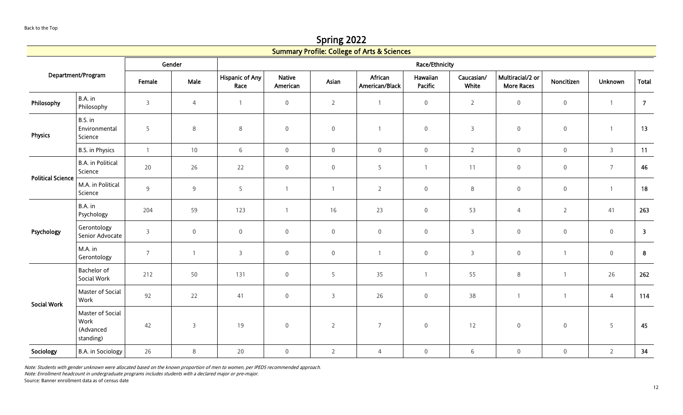Spring 2022

|                          |                                                    |                |                |                                |                           |                     | <b>Summary Profile: College of Arts &amp; Sciences</b> |                     |                     |                                       |                  |                |                         |
|--------------------------|----------------------------------------------------|----------------|----------------|--------------------------------|---------------------------|---------------------|--------------------------------------------------------|---------------------|---------------------|---------------------------------------|------------------|----------------|-------------------------|
|                          |                                                    |                | Gender         |                                |                           |                     |                                                        | Race/Ethnicity      |                     |                                       |                  |                |                         |
|                          | Department/Program                                 | Female         | Male           | <b>Hispanic of Any</b><br>Race | <b>Native</b><br>American | Asian               | African<br>American/Black                              | Hawaiian<br>Pacific | Caucasian/<br>White | Multiracial/2 or<br><b>More Races</b> | Noncitizen       | Unknown        | <b>Total</b>            |
| Philosophy               | B.A. in<br>Philosophy                              | $\overline{3}$ | $\overline{4}$ | $\mathbf{1}$                   | $\mathbf 0$               | $\overline{2}$      | $\mathbf{1}$                                           | $\mathsf 0$         | $\overline{2}$      | $\boldsymbol{0}$                      | $\boldsymbol{0}$ | $\overline{1}$ | $\overline{7}$          |
| <b>Physics</b>           | B.S. in<br>Environmental<br>Science                | 5              | $8\phantom{1}$ | $\,8\,$                        | $\boldsymbol{0}$          | $\mathsf{O}\xspace$ |                                                        | $\mathbf 0$         | $\overline{3}$      | $\mathbf 0$                           | $\boldsymbol{0}$ | $\overline{1}$ | 13                      |
|                          | B.S. in Physics                                    | $\mathbf{1}$   | 10             | 6                              | $\mathbf 0$               | $\mathsf 0$         | $\boldsymbol{0}$                                       | $\mathsf 0$         | $\overline{2}$      | $\overline{0}$                        | $\boldsymbol{0}$ | $\overline{3}$ | 11                      |
| <b>Political Science</b> | <b>B.A.</b> in Political<br>Science                | 20             | 26             | 22                             | $\mathbf 0$               | $\mathsf 0$         | 5                                                      | $\overline{1}$      | 11                  | $\boldsymbol{0}$                      | $\boldsymbol{0}$ | $\overline{7}$ | 46                      |
|                          | M.A. in Political<br>Science                       | 9              | 9              | 5                              |                           | 1                   | $\overline{2}$                                         | $\mathbf 0$         | $\,8\,$             | $\mathbf 0$                           | $\boldsymbol{0}$ | $\overline{1}$ | 18                      |
|                          | B.A. in<br>Psychology                              | 204            | 59             | 123                            |                           | 16                  | 23                                                     | $\boldsymbol{0}$    | 53                  | $\overline{4}$                        | $\overline{2}$   | 41             | 263                     |
| Psychology               | Gerontology<br>Senior Advocate                     | $\mathbf{3}$   | $\mathbf 0$    | $\mathsf 0$                    | $\boldsymbol{0}$          | $\mathsf 0$         | $\mathsf{O}\xspace$                                    | $\mathsf 0$         | $\overline{3}$      | $\mathbf 0$                           | $\boldsymbol{0}$ | $\mathsf 0$    | $\overline{\mathbf{3}}$ |
|                          | M.A. in<br>Gerontology                             | $\overline{7}$ |                | $\overline{3}$                 | $\mathsf{O}\xspace$       | $\mathsf{O}\xspace$ |                                                        | $\mathsf{O}\xspace$ | $\overline{3}$      | $\mathbf 0$                           |                  | $\mathsf 0$    | $8\phantom{1}$          |
|                          | Bachelor of<br>Social Work                         | 212            | 50             | 131                            | $\boldsymbol{0}$          | 5                   | 35                                                     | $\mathbf{1}$        | 55                  | $8\phantom{1}$                        | $\mathbf{1}$     | 26             | 262                     |
| <b>Social Work</b>       | Master of Social<br>Work                           | 92             | 22             | 41                             | $\boldsymbol{0}$          | $\mathsf{3}$        | 26                                                     | $\boldsymbol{0}$    | 38                  | $\overline{1}$                        | 1                | 4              | 114                     |
|                          | Master of Social<br>Work<br>(Advanced<br>standing) | 42             | $\overline{3}$ | 19                             | $\boldsymbol{0}$          | $\overline{2}$      | $\overline{7}$                                         | $\mathsf{O}\xspace$ | 12                  | $\mathbb O$                           | $\mathbf 0$      | 5              | 45                      |
| Sociology                | <b>B.A.</b> in Sociology                           | 26             | 8              | 20                             | $\mathbf 0$               | $\overline{2}$      | $\overline{4}$                                         | $\mathsf 0$         | $\,$ 6 $\,$         | $\mathbb O$                           | $\boldsymbol{0}$ | $\overline{2}$ | 34                      |

Note: Enrollment headcount in undergraduate programs includes students with a declared major or pre-major.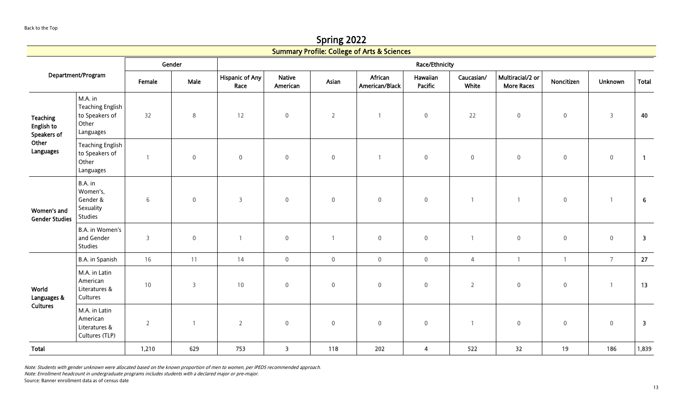Spring 2022

|                                              |                                                                            |                |                |                                |                           |                     | <b>Summary Profile: College of Arts &amp; Sciences</b> |                         |                     |                                       |                  |                |                         |
|----------------------------------------------|----------------------------------------------------------------------------|----------------|----------------|--------------------------------|---------------------------|---------------------|--------------------------------------------------------|-------------------------|---------------------|---------------------------------------|------------------|----------------|-------------------------|
|                                              |                                                                            |                | Gender         |                                |                           |                     |                                                        | Race/Ethnicity          |                     |                                       |                  |                |                         |
|                                              | Department/Program                                                         | Female         | Male           | <b>Hispanic of Any</b><br>Race | <b>Native</b><br>American | Asian               | African<br>American/Black                              | Hawaiian<br>Pacific     | Caucasian/<br>White | Multiracial/2 or<br><b>More Races</b> | Noncitizen       | Unknown        | <b>Total</b>            |
| <b>Teaching</b><br>English to<br>Speakers of | M.A. in<br><b>Teaching English</b><br>to Speakers of<br>Other<br>Languages | 32             | 8              | 12                             | $\mathbf 0$               | $\overline{2}$      | $\mathbf{1}$                                           | $\mathsf 0$             | 22                  | $\mathbf 0$                           | $\mathbf 0$      | $\overline{3}$ | 40                      |
| Other<br>Languages                           | <b>Teaching English</b><br>to Speakers of<br>Other<br>Languages            | $\overline{1}$ | $\mathbb O$    | $\mathsf 0$                    | $\mathbf 0$               | $\mathsf 0$         | $\mathbf{1}$                                           | $\mathsf{O}\xspace$     | $\boldsymbol{0}$    | $\boldsymbol{0}$                      | $\boldsymbol{0}$ | $\mathbb O$    | $\overline{1}$          |
| Women's and<br><b>Gender Studies</b>         | B.A. in<br>Women's,<br>Gender &<br>Sexuality<br>Studies                    | $\sqrt{6}$     | $\mathbf 0$    | 3                              | $\boldsymbol{0}$          | $\boldsymbol{0}$    | $\mathbf 0$                                            | $\mathsf{O}\xspace$     |                     | $\overline{1}$                        | $\boldsymbol{0}$ | $\overline{1}$ | 6                       |
|                                              | B.A. in Women's<br>and Gender<br>Studies                                   | $\overline{3}$ | $\mathbb O$    | $\overline{1}$                 | $\mathbf 0$               | $\mathbf{1}$        | $\mathbf 0$                                            | $\mathsf{O}\xspace$     | $\mathbf{1}$        | $\mathbf 0$                           | $\mathbf 0$      | $\mathbf 0$    | $\overline{\mathbf{3}}$ |
|                                              | B.A. in Spanish                                                            | 16             | 11             | 14                             | $\overline{0}$            | $\mathsf{O}\xspace$ | $\mathbf 0$                                            | $\mathsf{O}\xspace$     | $\overline{4}$      | $\overline{1}$                        | $\mathbf{1}$     | $\overline{7}$ | 27                      |
| World<br>Languages &                         | M.A. in Latin<br>American<br>Literatures &<br>Cultures                     | $10\,$         | $\overline{3}$ | 10                             | $\mathbf 0$               | $\boldsymbol{0}$    | 0                                                      | $\mathsf 0$             | $\overline{2}$      | $\boldsymbol{0}$                      | $\mathbf 0$      | $\overline{1}$ | 13                      |
| Cultures                                     | M.A. in Latin<br>American<br>Literatures &<br>Cultures (TLP)               | $\overline{2}$ | $\overline{1}$ | $\overline{2}$                 | $\mathbf 0$               | $\mathbf 0$         | $\boldsymbol{0}$                                       | $\mathsf{O}\xspace$     |                     | $\mathbf 0$                           | $\mathbf 0$      | $\mathsf 0$    | $\overline{\mathbf{3}}$ |
| Total                                        |                                                                            | 1,210          | 629            | 753                            | $\overline{\mathbf{3}}$   | 118                 | 202                                                    | $\overline{\mathbf{4}}$ | 522                 | 32                                    | 19               | 186            | 1,839                   |

Note: Enrollment headcount in undergraduate programs includes students with a declared major or pre-major.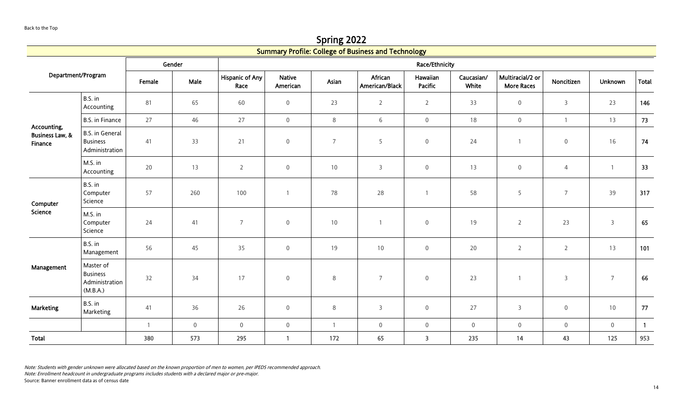Spring 2022 Summary Profile: College of Business and Technology

<span id="page-13-0"></span>

|                                       |                                                             |                |                     |                                |                           |                 | Summary Profile: College of Business and Technology |                         |                     |                                       |                  |                |              |
|---------------------------------------|-------------------------------------------------------------|----------------|---------------------|--------------------------------|---------------------------|-----------------|-----------------------------------------------------|-------------------------|---------------------|---------------------------------------|------------------|----------------|--------------|
|                                       |                                                             |                | Gender              |                                |                           |                 |                                                     | Race/Ethnicity          |                     |                                       |                  |                |              |
| Department/Program                    |                                                             | Female         | Male                | <b>Hispanic of Any</b><br>Race | <b>Native</b><br>American | Asian           | African<br>American/Black                           | Hawaiian<br>Pacific     | Caucasian/<br>White | Multiracial/2 or<br><b>More Races</b> | Noncitizen       | <b>Unknown</b> | <b>Total</b> |
|                                       | B.S. in<br>Accounting                                       | 81             | 65                  | 60                             | $\mathsf{O}\xspace$       | 23              | $\overline{2}$                                      | $\overline{2}$          | 33                  | $\mathbf 0$                           | $\mathsf{3}$     | 23             | 146          |
| Accounting,                           | <b>B.S. in Finance</b>                                      | 27             | 46                  | 27                             | $\mathsf{O}$              | $8\phantom{.0}$ | $6\,$                                               | $\mathsf{O}\xspace$     | 18                  | $\mathsf{O}\xspace$                   | $\mathbf{1}$     | 13             | 73           |
| <b>Business Law, &amp;</b><br>Finance | <b>B.S.</b> in General<br><b>Business</b><br>Administration | 41             | 33                  | 21                             | $\mathsf{O}\xspace$       | $\overline{7}$  | 5                                                   | $\mathbf 0$             | 24                  | $\overline{1}$                        | $\boldsymbol{0}$ | 16             | 74           |
|                                       | M.S. in<br>Accounting                                       | 20             | 13                  | $\overline{2}$                 | $\mathsf{O}\xspace$       | 10              | $\mathsf{3}$                                        | $\mathbf 0$             | 13                  | $\mathbf 0$                           | $\overline{4}$   | $\overline{1}$ | 33           |
| Computer<br>Science                   | B.S. in<br>Computer<br>Science                              | 57             | 260                 | 100                            |                           | 78              | 28                                                  | $\mathbf{1}$            | 58                  | 5                                     | $\overline{7}$   | 39             | 317          |
|                                       | M.S. in<br>Computer<br>Science                              | 24             | 41                  | $\overline{7}$                 | $\mathsf{O}\xspace$       | $10$            | $\overline{1}$                                      | $\mathbf 0$             | 19                  | $\overline{2}$                        | 23               | $\mathsf{3}$   | 65           |
|                                       | B.S. in<br>Management                                       | 56             | 45                  | 35                             | $\mathsf{O}\xspace$       | 19              | 10                                                  | $\mathbf 0$             | 20                  | $\overline{2}$                        | $\overline{2}$   | 13             | 101          |
| Management                            | Master of<br><b>Business</b><br>Administration<br>(M.B.A.)  | 32             | 34                  | 17                             | $\mathsf{O}\xspace$       | $\,8\,$         | $\overline{7}$                                      | $\mathbf 0$             | 23                  | $\mathbf{1}$                          | $\mathsf{3}$     | $\overline{7}$ | 66           |
| <b>Marketing</b>                      | B.S. in<br>Marketing                                        | 41             | 36                  | 26                             | $\mathsf 0$               | 8               | 3                                                   | $\boldsymbol{0}$        | 27                  | $\overline{3}$                        | $\mathbf 0$      | 10             | 77           |
|                                       |                                                             | $\overline{1}$ | $\mathsf{O}\xspace$ | $\mathsf{O}\xspace$            | $\overline{0}$            | $\overline{1}$  | $\mathsf{0}$                                        | $\mathbf 0$             | $\mathbf 0$         | $\mathsf{O}\xspace$                   | $\boldsymbol{0}$ | $\overline{0}$ | $\mathbf{1}$ |
| Total                                 |                                                             | 380            | 573                 | 295                            | $\mathbf{1}$              | 172             | 65                                                  | $\overline{\mathbf{3}}$ | 235                 | 14                                    | 43               | 125            | 953          |

Note: Enrollment headcount in undergraduate programs includes students with a declared major or pre-major.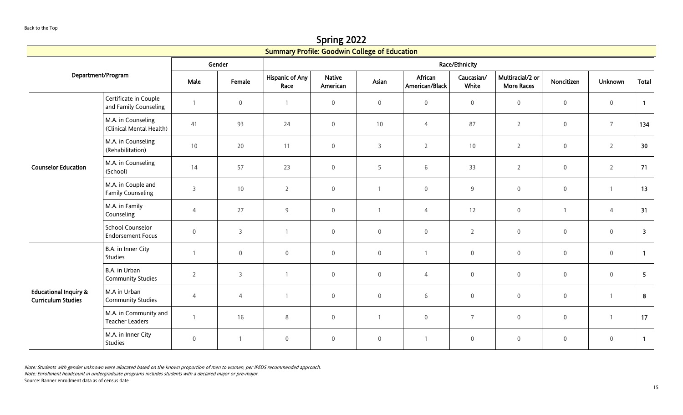Spring 2022

<span id="page-14-0"></span>

|                                                               |                                                     |                |                  | <b>Summary Profile: Goodwin College of Education</b> |                           |                  |                           |                     |                                       |                     |                  |                         |
|---------------------------------------------------------------|-----------------------------------------------------|----------------|------------------|------------------------------------------------------|---------------------------|------------------|---------------------------|---------------------|---------------------------------------|---------------------|------------------|-------------------------|
|                                                               |                                                     |                | Gender           |                                                      |                           |                  |                           | Race/Ethnicity      |                                       |                     |                  |                         |
|                                                               | Department/Program                                  | Male           | Female           | <b>Hispanic of Any</b><br>Race                       | <b>Native</b><br>American | Asian            | African<br>American/Black | Caucasian/<br>White | Multiracial/2 or<br><b>More Races</b> | Noncitizen          | Unknown          | <b>Total</b>            |
|                                                               | Certificate in Couple<br>and Family Counseling      |                | $\boldsymbol{0}$ | $\overline{1}$                                       | $\boldsymbol{0}$          | $\boldsymbol{0}$ | $\boldsymbol{0}$          | $\mathbf 0$         | $\mathbf 0$                           | $\,0\,$             | $\boldsymbol{0}$ | $\overline{1}$          |
| <b>Counselor Education</b>                                    | M.A. in Counseling<br>(Clinical Mental Health)      | 41             | 93               | 24                                                   | $\mathsf{O}\xspace$       | 10               | $\overline{4}$            | 87                  | $\overline{2}$                        | $\,0\,$             | $\overline{7}$   | 134                     |
|                                                               | M.A. in Counseling<br>(Rehabilitation)              | 10             | 20               | 11                                                   | $\mathsf{O}\xspace$       | $\mathsf{3}$     | $\overline{2}$            | 10                  | $\overline{2}$                        | $\mathsf{O}\xspace$ | $\overline{2}$   | 30 <sup>°</sup>         |
|                                                               | M.A. in Counseling<br>(School)                      | 14             | 57               | 23                                                   | $\mathsf{O}\xspace$       | 5                | 6                         | 33                  | $\overline{2}$                        | $\mathsf{O}\xspace$ | $\overline{2}$   | 71                      |
|                                                               | M.A. in Couple and<br><b>Family Counseling</b>      | 3              | 10               | $\overline{2}$                                       | $\mathsf{O}\xspace$       |                  | $\boldsymbol{0}$          | 9                   | $\boldsymbol{0}$                      | $\,0\,$             | $\overline{1}$   | 13                      |
|                                                               | M.A. in Family<br>Counseling                        | $\overline{4}$ | 27               | 9                                                    | $\mathsf 0$               | $\overline{1}$   | $\overline{4}$            | 12                  | $\boldsymbol{0}$                      | $\mathbf{1}$        | $\overline{4}$   | 31                      |
|                                                               | <b>School Counselor</b><br><b>Endorsement Focus</b> | $\mathbf 0$    | $\overline{3}$   |                                                      | $\mathsf 0$               | $\mathbf 0$      | $\mathbf 0$               | $\overline{2}$      | $\mathsf{O}\xspace$                   | $\mathsf{O}\xspace$ | $\boldsymbol{0}$ | $\overline{\mathbf{3}}$ |
|                                                               | B.A. in Inner City<br>Studies                       |                | $\mathbf 0$      | $\mathbf 0$                                          | $\mathsf 0$               | $\overline{0}$   |                           | $\mathbf 0$         | $\mathsf{O}\xspace$                   | $\,0\,$             | $\boldsymbol{0}$ | $\overline{1}$          |
|                                                               | B.A. in Urban<br><b>Community Studies</b>           | $\overline{2}$ | $\overline{3}$   |                                                      | $\mathsf 0$               | $\mathbf 0$      | $\overline{4}$            | $\overline{0}$      | $\boldsymbol{0}$                      | $\mathsf{O}\xspace$ | $\boldsymbol{0}$ | $5\phantom{.0}$         |
| <b>Educational Inquiry &amp;</b><br><b>Curriculum Studies</b> | M.A in Urban<br><b>Community Studies</b>            | 4              | $\overline{4}$   |                                                      | $\mathsf{O}\xspace$       | $\mathbf 0$      | 6                         | $\mathsf{O}\xspace$ | $\mathbf 0$                           | $\boldsymbol{0}$    | $\overline{1}$   | $\boldsymbol{8}$        |
|                                                               | M.A. in Community and<br><b>Teacher Leaders</b>     |                | 16               | 8                                                    | $\mathbf 0$               | $\mathbf{1}$     | $\boldsymbol{0}$          | $\overline{7}$      | $\mathsf 0$                           | $\boldsymbol{0}$    | $\mathbf{1}$     | 17                      |
|                                                               | M.A. in Inner City<br>Studies                       | $\mathbf 0$    | $\overline{1}$   | $\mathsf{O}\xspace$                                  | $\mathsf 0$               | $\boldsymbol{0}$ | $\mathbf{1}$              | 0                   | $\mathsf 0$                           | $\mathbf 0$         | $\boldsymbol{0}$ | $\overline{1}$          |

Note: Enrollment headcount in undergraduate programs includes students with a declared major or pre-major.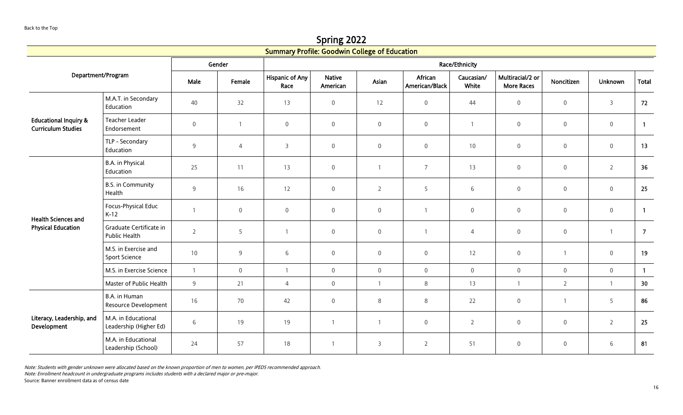Spring 2022

|                                                               |                                               |                |                     | <b>Summary Profile: Goodwin College of Education</b> |                           |                     |                           |                     |                                       |                     |                  |                 |  |
|---------------------------------------------------------------|-----------------------------------------------|----------------|---------------------|------------------------------------------------------|---------------------------|---------------------|---------------------------|---------------------|---------------------------------------|---------------------|------------------|-----------------|--|
|                                                               |                                               |                | Gender              | Race/Ethnicity                                       |                           |                     |                           |                     |                                       |                     |                  |                 |  |
|                                                               | Department/Program                            | Male           | Female              | <b>Hispanic of Any</b><br>Race                       | <b>Native</b><br>American | Asian               | African<br>American/Black | Caucasian/<br>White | Multiracial/2 or<br><b>More Races</b> | Noncitizen          | <b>Unknown</b>   | <b>Total</b>    |  |
|                                                               | M.A.T. in Secondary<br>Education              | 40             | 32                  | 13                                                   | $\boldsymbol{0}$          | 12                  | $\mathbf 0$               | 44                  | $\mathsf{O}\xspace$                   | $\boldsymbol{0}$    | $\overline{3}$   | 72              |  |
| <b>Educational Inquiry &amp;</b><br><b>Curriculum Studies</b> | <b>Teacher Leader</b><br>Endorsement          | $\mathbf 0$    | $\mathbf{1}$        | $\boldsymbol{0}$                                     | $\mathsf{O}\xspace$       | $\mathsf{O}\xspace$ | $\mathsf{O}\xspace$       |                     | $\mathbf 0$                           | $\mathbf 0$         | $\,0\,$          | $\overline{1}$  |  |
|                                                               | TLP - Secondary<br>Education                  | 9              | $\overline{4}$      | $\overline{3}$                                       | $\mathsf{O}\xspace$       | $\mathsf{O}\xspace$ | $\mathbf 0$               | 10                  | $\mathsf{O}\xspace$                   | $\mathsf{O}\xspace$ | $\mathbf 0$      | 13              |  |
|                                                               | B.A. in Physical<br>Education                 | 25             | 11                  | 13                                                   | $\mathbf 0$               |                     | $\overline{7}$            | 13                  | $\mathsf{O}\xspace$                   | $\mathbf 0$         | $\overline{2}$   | 36              |  |
|                                                               | <b>B.S. in Community</b><br>Health            | 9              | 16                  | 12                                                   | $\mathsf{O}\xspace$       | $\overline{2}$      | 5                         | 6                   | $\mathsf{O}\xspace$                   | $\boldsymbol{0}$    | $\mathbf 0$      | 25              |  |
| <b>Health Sciences and</b>                                    | Focus-Physical Educ<br>$K-12$                 | $\overline{1}$ | $\mathsf{O}\xspace$ | $\boldsymbol{0}$                                     | $\mathbf 0$               | $\mathsf{O}\xspace$ |                           | $\boldsymbol{0}$    | $\mathbf 0$                           | $\boldsymbol{0}$    | $\boldsymbol{0}$ | $\overline{1}$  |  |
| <b>Physical Education</b>                                     | Graduate Certificate in<br>Public Health      | $\overline{2}$ | 5                   |                                                      | $\overline{0}$            | $\mathbf 0$         |                           | $\overline{4}$      | $\mathbf 0$                           | $\mathbf 0$         | $\overline{1}$   | $\overline{7}$  |  |
|                                                               | M.S. in Exercise and<br>Sport Science         | 10             | 9                   | $\,6\,$                                              | $\mathbf 0$               | $\mathsf{O}\xspace$ | $\mathbf 0$               | 12                  | $\mathbf 0$                           | $\mathbf{1}$        | $\boldsymbol{0}$ | 19              |  |
|                                                               | M.S. in Exercise Science                      | $\overline{1}$ | $\mathsf{O}\xspace$ | $\overline{1}$                                       | $\mathsf{O}\xspace$       | $\overline{0}$      | $\mathbf 0$               | $\mathsf{O}\xspace$ | $\mathbf 0$                           | $\mathsf{O}\xspace$ | $\mathbb O$      | $\overline{1}$  |  |
|                                                               | Master of Public Health                       | 9              | 21                  | $\overline{4}$                                       | $\mathbf 0$               | $\mathbf{1}$        | 8                         | 13                  | $\mathbf{1}$                          | $\overline{2}$      | $\overline{1}$   | 30 <sup>°</sup> |  |
|                                                               | B.A. in Human<br>Resource Development         | 16             | 70                  | 42                                                   | $\mathbf 0$               | 8                   | 8                         | 22                  | $\mathsf{O}\xspace$                   | $\mathbf{1}$        | 5                | 86              |  |
| Literacy, Leadership, and<br>Development                      | M.A. in Educational<br>Leadership (Higher Ed) | 6              | 19                  | 19                                                   | $\overline{1}$            | 1                   | $\mathsf 0$               | $\overline{2}$      | $\mathsf{O}\xspace$                   | $\boldsymbol{0}$    | $\overline{2}$   | 25              |  |
|                                                               | M.A. in Educational<br>Leadership (School)    | 24             | 57                  | 18                                                   | $\overline{1}$            | 3                   | $\overline{2}$            | 51                  | $\mathsf{O}\xspace$                   | $\mathbf 0$         | 6                | 81              |  |

Note: Enrollment headcount in undergraduate programs includes students with a declared major or pre-major.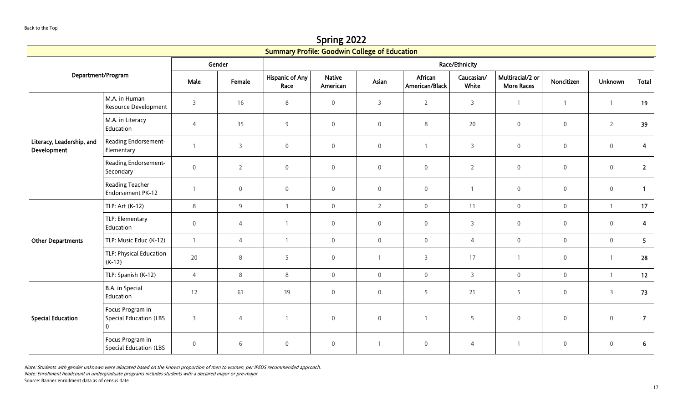Spring 2022

|                                          |                                                             |                     |                     | <b>Summary Profile: Goodwin College of Education</b> |                           |                     |                           |                     |                                       |                     |                     |                         |  |  |
|------------------------------------------|-------------------------------------------------------------|---------------------|---------------------|------------------------------------------------------|---------------------------|---------------------|---------------------------|---------------------|---------------------------------------|---------------------|---------------------|-------------------------|--|--|
|                                          |                                                             |                     | Gender              | Race/Ethnicity                                       |                           |                     |                           |                     |                                       |                     |                     |                         |  |  |
| Department/Program                       |                                                             | Male                | Female              | <b>Hispanic of Any</b><br>Race                       | <b>Native</b><br>American | Asian               | African<br>American/Black | Caucasian/<br>White | Multiracial/2 or<br><b>More Races</b> | Noncitizen          | <b>Unknown</b>      | <b>Total</b>            |  |  |
|                                          | M.A. in Human<br>Resource Development                       | 3                   | 16                  | $\,8\,$                                              | $\boldsymbol{0}$          | 3                   | $\overline{2}$            | 3                   | $\overline{1}$                        | $\mathbf{1}$        | $\mathbf{1}$        | 19                      |  |  |
| Literacy, Leadership, and<br>Development | M.A. in Literacy<br>Education                               | $\overline{4}$      | 35                  | $9\,$                                                | $\mathbf 0$               | $\boldsymbol{0}$    | 8                         | 20                  | $\mathbf 0$                           | $\mathsf{O}\xspace$ | $\overline{2}$      | 39                      |  |  |
|                                          | Reading Endorsement-<br>Elementary                          | $\overline{1}$      | $\overline{3}$      | $\mathsf{O}\xspace$                                  | $\mathsf{O}\xspace$       | $\mathbf 0$         | $\mathbf{1}$              | $\overline{3}$      | $\mathsf{O}\xspace$                   | $\mathbf 0$         | $\mathsf{O}\xspace$ | $\overline{\mathbf{4}}$ |  |  |
|                                          | Reading Endorsement-<br>Secondary                           | $\mathbf 0$         | $\overline{2}$      | $\mathbf 0$                                          | $\mathbf 0$               | $\mathbf 0$         | $\overline{0}$            | $\overline{2}$      | $\mathsf 0$                           | $\mathsf{O}\xspace$ | $\mathsf{O}\xspace$ | $\overline{2}$          |  |  |
|                                          | <b>Reading Teacher</b><br>Endorsement PK-12                 |                     | $\mathsf{O}\xspace$ | $\mathbf 0$                                          | $\overline{0}$            | $\boldsymbol{0}$    | $\mathbf 0$               |                     | $\mathbf 0$                           | $\mathsf{O}\xspace$ | $\mathsf{O}\xspace$ | $\overline{1}$          |  |  |
|                                          | TLP: Art (K-12)                                             | 8                   | $\overline{9}$      | $\overline{3}$                                       | $\mathbf 0$               | $\overline{2}$      | $\mathbf 0$               | 11                  | $\mathbf 0$                           | $\mathbf 0$         | $\mathbf{1}$        | 17                      |  |  |
|                                          | TLP: Elementary<br>Education                                | $\mathsf{O}\xspace$ | $\overline{4}$      |                                                      | $\mathsf{O}\xspace$       | $\mathsf{O}\xspace$ | $\mathbf 0$               | $\overline{3}$      | $\mathsf 0$                           | $\mathsf{O}\xspace$ | $\mathsf{O}\xspace$ | $\overline{\mathbf{4}}$ |  |  |
| <b>Other Departments</b>                 | TLP: Music Educ (K-12)                                      | $\overline{1}$      | $\overline{4}$      | -1                                                   | $\mathsf{O}\xspace$       | $\mathsf{O}\xspace$ | $\mathbf 0$               | $\overline{4}$      | $\mathsf{O}\xspace$                   | $\mathbf 0$         | $\mathsf{O}\xspace$ | 5 <sub>1</sub>          |  |  |
|                                          | TLP: Physical Education<br>$(K-12)$                         | 20                  | $\,8\,$             | 5                                                    | $\mathsf{O}\xspace$       |                     | $\overline{3}$            | 17                  | $\mathbf{1}$                          | $\mathsf{O}\xspace$ | $\mathbf{1}$        | 28                      |  |  |
|                                          | TLP: Spanish (K-12)                                         | $\overline{4}$      | $\,8\,$             | $8\phantom{1}$                                       | $\mathsf{O}\xspace$       | $\mathsf{O}\xspace$ | $\mathbf 0$               | $\overline{3}$      | $\boldsymbol{0}$                      | $\mathsf{O}\xspace$ | $\mathbf{1}$        | 12                      |  |  |
|                                          | B.A. in Special<br>Education                                | 12                  | 61                  | 39                                                   | $\overline{0}$            | $\boldsymbol{0}$    | 5                         | 21                  | 5                                     | $\boldsymbol{0}$    | $\mathsf{3}$        | 73                      |  |  |
| <b>Special Education</b>                 | Focus Program in<br><b>Special Education (LBS</b><br>$\Box$ | 3                   | $\overline{4}$      |                                                      | $\boldsymbol{0}$          | $\mathbf 0$         | $\mathbf{1}$              | 5                   | $\mathbf 0$                           | $\mathbf 0$         | $\mathsf{O}\xspace$ | $\overline{7}$          |  |  |
|                                          | Focus Program in<br><b>Special Education (LBS</b>           | $\mathbf 0$         | 6                   | $\mathbf 0$                                          | $\mathbf 0$               |                     | $\mathbf 0$               | 4                   | $\mathbf{1}$                          | $\mathbf 0$         | $\mathsf{O}\xspace$ | $6\phantom{1}$          |  |  |

Note: Enrollment headcount in undergraduate programs includes students with a declared major or pre-major.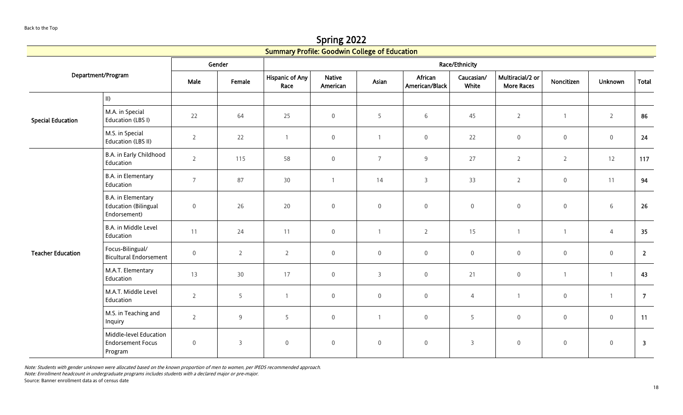Spring 2022

|                          |                                                                   |                     |                | <b>Summary Profile: Goodwin College of Education</b> |                           |                  |                           |                     |                                       |                     |                |                         |  |
|--------------------------|-------------------------------------------------------------------|---------------------|----------------|------------------------------------------------------|---------------------------|------------------|---------------------------|---------------------|---------------------------------------|---------------------|----------------|-------------------------|--|
|                          |                                                                   |                     | Gender         | Race/Ethnicity                                       |                           |                  |                           |                     |                                       |                     |                |                         |  |
|                          | Department/Program                                                | Male                | Female         | <b>Hispanic of Any</b><br>Race                       | <b>Native</b><br>American | Asian            | African<br>American/Black | Caucasian/<br>White | Multiracial/2 or<br><b>More Races</b> | Noncitizen          | Unknown        | Total                   |  |
|                          | $\parallel$                                                       |                     |                |                                                      |                           |                  |                           |                     |                                       |                     |                |                         |  |
| <b>Special Education</b> | M.A. in Special<br>Education (LBS I)                              | 22                  | 64             | 25                                                   | $\mathbf 0$               | 5                | $6\,$                     | 45                  | $\overline{2}$                        | $\mathbf{1}$        | $\overline{2}$ | 86                      |  |
|                          | M.S. in Special<br>Education (LBS II)                             | $\overline{2}$      | 22             | $\overline{1}$                                       | $\mathsf{O}\xspace$       | $\mathbf{1}$     | $\mathbf 0$               | 22                  | $\,0\,$                               | $\mathbf 0$         | $\mathbf 0$    | 24                      |  |
|                          | B.A. in Early Childhood<br>Education                              | $\overline{2}$      | 115            | 58                                                   | $\mathsf{O}\xspace$       | $\overline{7}$   | $\overline{9}$            | 27                  | $\overline{2}$                        | $\overline{2}$      | 12             | 117                     |  |
|                          | B.A. in Elementary<br>Education                                   | $\overline{7}$      | 87             | 30                                                   | $\overline{1}$            | 14               | $\overline{3}$            | 33                  | $\overline{2}$                        | $\mathsf 0$         | 11             | 94                      |  |
|                          | B.A. in Elementary<br><b>Education (Bilingual</b><br>Endorsement) | $\mathbf 0$         | 26             | 20                                                   | $\mathbf 0$               | $\mathbf 0$      | $\mathbf 0$               | $\mathbf 0$         | $\overline{0}$                        | $\mathbf 0$         | 6              | 26                      |  |
|                          | B.A. in Middle Level<br>Education                                 | 11                  | 24             | 11                                                   | $\mathbf 0$               |                  | $\overline{2}$            | 15                  | $\overline{1}$                        | $\mathbf{1}$        | $\overline{4}$ | 35                      |  |
| <b>Teacher Education</b> | Focus-Bilingual/<br><b>Bicultural Endorsement</b>                 | $\mathsf{O}\xspace$ | $\overline{2}$ | $\overline{2}$                                       | $\mathbf 0$               | $\mathbf 0$      | $\mathsf{O}\xspace$       | $\boldsymbol{0}$    | $\mathbf 0$                           | $\boldsymbol{0}$    | $\mathbb O$    | $2^{\circ}$             |  |
|                          | M.A.T. Elementary<br>Education                                    | 13                  | 30             | 17                                                   | $\mathbf 0$               | 3                | $\mathsf{O}\xspace$       | 21                  | $\mathbb O$                           | $\mathbf{1}$        | $\overline{1}$ | 43                      |  |
|                          | M.A.T. Middle Level<br>Education                                  | $\overline{2}$      | 5              | $\overline{1}$                                       | $\mathbf 0$               | $\mathbf 0$      | $\mathsf{O}\xspace$       | $\overline{4}$      | $\overline{1}$                        | $\overline{0}$      | $\overline{1}$ | $\overline{7}$          |  |
|                          | M.S. in Teaching and<br>Inquiry                                   | $\overline{2}$      | 9              | 5                                                    | $\mathbf 0$               |                  | $\mathbf 0$               | 5                   | $\overline{0}$                        | $\mathsf{O}\xspace$ | $\mathbb O$    | 11                      |  |
|                          | Middle-level Education<br><b>Endorsement Focus</b><br>Program     | $\mathbf 0$         | $\overline{3}$ | $\mathbf 0$                                          | $\boldsymbol{0}$          | $\boldsymbol{0}$ | $\boldsymbol{0}$          | $\overline{3}$      | $\overline{0}$                        | $\boldsymbol{0}$    | $\overline{0}$ | $\overline{\mathbf{3}}$ |  |

Note: Enrollment headcount in undergraduate programs includes students with a declared major or pre-major.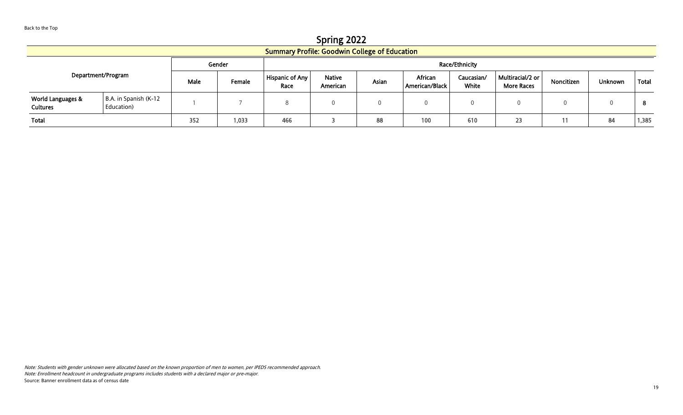Spring 2022 Summary Profile: Goodwin College of Education Department/Program Gender **General Community** Contract Community Community Race/Ethnicity Male Female Hispanic of Any Race Native American Asian African American/Black Caucasian/ White Multiracial/2 or Multifacial Z or Noncitizen | Unknown | Total | More Races World Languages & **Cultures** B.A. in Spanish (K-12 ال المستمر بين المستمر بين المستمر بين المستمر بين المستمر بين المستمر بين المستمر بين المستمر بين المستمر بين<br>Education) المستمر بين المستمر بين المستمر بين المستمر بين المستمر بين المستمر بين المستمر بين المستمر بين الم

Total | 352 | 1,033 | 466 | 3 | 88 | 100 | 610 | 23 | 11 | 84 |1,385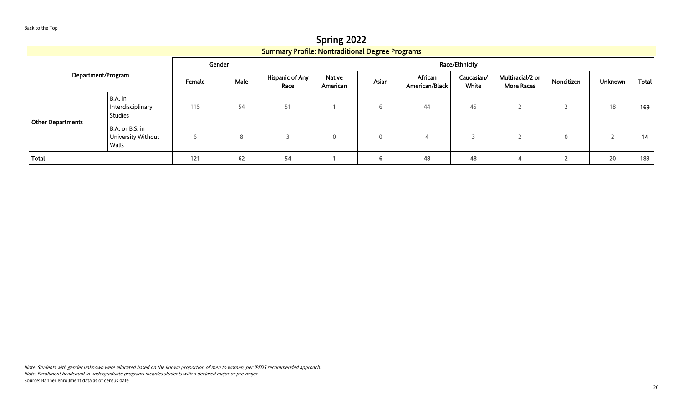<span id="page-19-0"></span>Spring 2022 Summary Profile: Nontraditional Degree Programs Department/Program Gender **Race/Ethnicity** Female Male Hispanic of Any Race Native American Asian African American/Black Caucasian/ White Multiracial/2 or Multiraciauz or | Noncitizen | Unknown | Total | Other Departments B.A. in Interdisciplinary Studies 115 | 54 | 51 | 1 | 6 | 44 | 45 | 2 | 2 | 18 |**169** B.A. or B.S. in University Without Walls 6 8 3 0 0 4 3 2 0 2 14

Total 121 62 54 1 6 48 48 4 2 20 183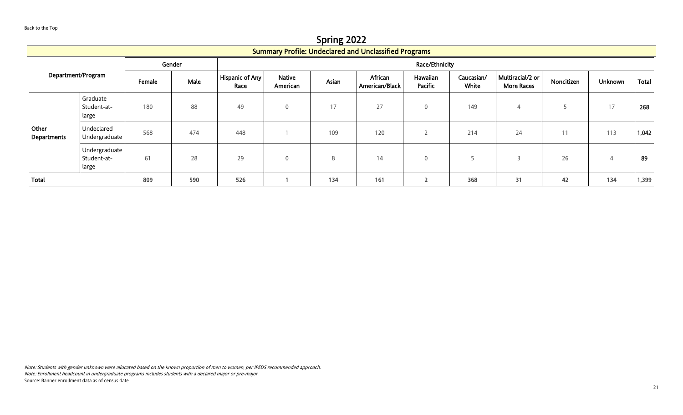Spring 2022

<span id="page-20-0"></span>

|                             |                                       |        |      |                                |                           |       | <b>Summary Profile: Undeclared and Unclassified Programs</b> |                            |                     |                                       |                    |                |       |  |
|-----------------------------|---------------------------------------|--------|------|--------------------------------|---------------------------|-------|--------------------------------------------------------------|----------------------------|---------------------|---------------------------------------|--------------------|----------------|-------|--|
|                             |                                       | Gender |      | Race/Ethnicity                 |                           |       |                                                              |                            |                     |                                       |                    |                |       |  |
| Department/Program          |                                       | Female | Male | <b>Hispanic of Any</b><br>Race | <b>Native</b><br>American | Asian | African<br>American/Black                                    | Hawaiian<br><b>Pacific</b> | Caucasian/<br>White | Multiracial/2 or<br><b>More Races</b> | Noncitizen         | <b>Unknown</b> | Total |  |
| Other<br><b>Departments</b> | Graduate<br>Student-at-<br>large      | 180    | 88   | 49                             | $\mathbf{0}$              | 17    | 27                                                           | $\mathbf 0$                | 149                 | 4                                     |                    | 17             | 268   |  |
|                             | Undeclared<br>Undergraduate           | 568    | 474  | 448                            |                           | 109   | 120                                                          | ∠                          | 214                 | 24                                    | 11<br>$\mathbf{1}$ | 113            | 1,042 |  |
|                             | Undergraduate<br>Student-at-<br>large | 61     | 28   | 29                             | $\mathbf{0}$              | 8     | 14                                                           | $\mathbf 0$                |                     |                                       | 26                 | 4              | 89    |  |
| Total                       |                                       | 809    | 590  | 526                            |                           | 134   | 161                                                          | n,<br>▴                    | 368                 | 31                                    | 42                 | 134            | 1,399 |  |